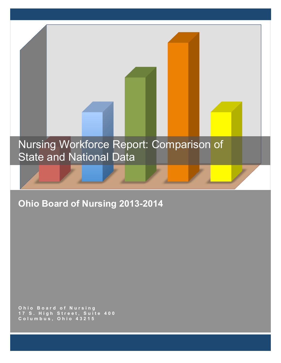# Nursing Workforce Report: Comparison of State and National Data

# **Ohio Board of Nursing 2013-2014**

**Ohio Board of Nursing 17 S. High Street, Sui t e 400 Columbus, Ohio 43215**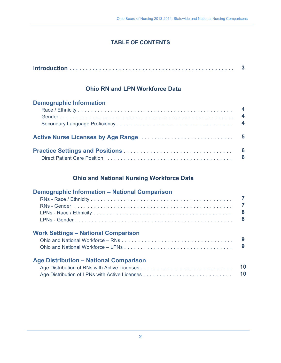# **TABLE OF CONTENTS**

# **Ohio RN and LPN Workforce Data**

| <b>Demographic Information</b> |  |
|--------------------------------|--|
|                                |  |
|                                |  |
|                                |  |
|                                |  |
|                                |  |
|                                |  |

# **Ohio and National Nursing Workforce Data**

| <b>Demographic Information - National Comparison</b> | 7<br>8<br>8 |
|------------------------------------------------------|-------------|
| <b>Work Settings - National Comparison</b>           | 9<br>9      |
| <b>Age Distribution - National Comparison</b>        | 10<br>10    |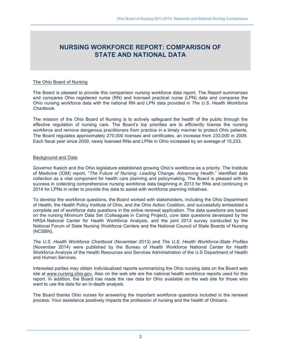# **NURSING WORKFORCE REPORT: COMPARISON OF STATE AND NATIONAL DATA**

#### The Ohio Board of Nursing

The Board is pleased to provide this comparison nursing workforce data report. The Report summarizes and compares Ohio registered nurse (RN) and licensed practical nurse (LPN) data and compares the Ohio nursing workforce data with the national RN and LPN data provided in *The U.S. Health Workforce Chartbook*.

The mission of the Ohio Board of Nursing is to actively safeguard the health of the public through the effective regulation of nursing care. The Board's top priorities are to efficiently license the nursing workforce and remove dangerous practitioners from practice in a timely manner to protect Ohio patients. The Board regulates approximately 270,000 licenses and certificates, an increase from 233,000 in 2009. Each fiscal year since 2009, newly licensed RNs and LPNs in Ohio increased by an average of 15,233.

#### Background and Data

Governor Kasich and the Ohio legislature established growing Ohio's workforce as a priority. The Institute of Medicine (IOM) report, "*The Future of Nursing: Leading Change, Advancing Health*," identified data collection as a vital component for health care planning and policymaking. The Board is pleased with its success in collecting comprehensive nursing workforce data beginning in 2013 for RNs and continuing in 2014 for LPNs in order to provide this data to assist with workforce planning initiatives.

To develop the workforce questions, the Board worked with stakeholders, including the Ohio Department of Health, the Health Policy Institute of Ohio, and the Ohio Action Coalition, and successfully embedded a complete set of workforce data questions in the online renewal application. The data questions are based on the nursing Minimum Data Set (Colleagues in Caring Project), core data questions developed by the HRSA National Center for Health Workforce Analysis, and the joint 2013 survey conducted by the National Forum of State Nursing Workforce Centers and the National Council of State Boards of Nursing (NCSBN).

*The U.S. Health Workforce Chartbook* (November 2013) and *The U.S. Health Workforce-State Profiles* (November 2014) were published by the Bureau of Health Workforce National Center for Health Workforce Analysis of the Health Resources and Services Administration of the U.S Department of Health and Human Services.

Interested parties may obtain Individualized reports summarizing the Ohio nursing data on the Board web site at www.nursing.ohio.gov. Also on the web site are the national health workforce reports used for this report. In addition, the Board has made the raw data for Ohio available on the web site for those who want to use the data for an in-depth analysis.

The Board thanks Ohio nurses for answering the important workforce questions included in the renewal process. Your assistance positively impacts the profession of nursing and the health of Ohioans.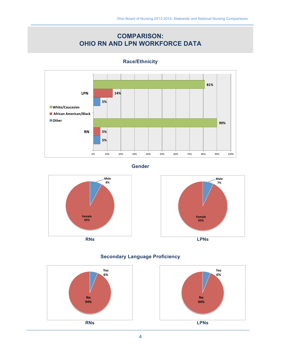# **COMPARISON: OHIO RN AND LPN WORKFORCE DATA**



**Race/Ethnicity** 

#### **Gender**









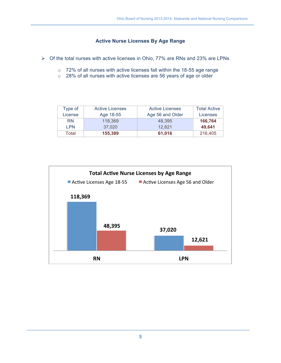### **Active Nurse Licenses By Age Range**

- $\triangleright$  Of the total nurses with active licenses in Ohio, 77% are RNs and 23% are LPNs
	- $\circ$  72% of all nurses with active licenses fall within the 18-55 age range
	- o 28% of all nurses with active licenses are 56 years of age or older

| Type of    | <b>Active Licenses</b> | <b>Active Licenses</b> | <b>Total Active</b> |
|------------|------------------------|------------------------|---------------------|
| License    | Age 18-55              | Age 56 and Older       | Licenses            |
| <b>RN</b>  | 118,369                | 48.395                 | 166,764             |
| <b>LPN</b> | 37,020                 | 12.621                 | 49.641              |
| Total      | 155,389                | 61,016                 | 216,405             |

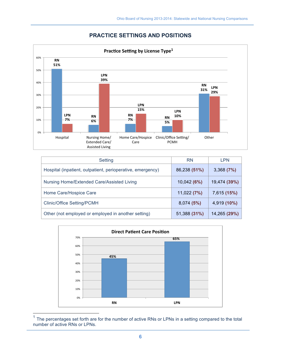## **PRACTICE SETTINGS AND POSITIONS**



| Setting                                                    | <b>RN</b>    | <b>LPN</b>   |
|------------------------------------------------------------|--------------|--------------|
| Hospital (inpatient, outpatient, perioperative, emergency) | 86,238 (51%) | 3,368(7%)    |
| Nursing Home/Extended Care/Assisted Living                 | 10,042 (6%)  | 19,474 (39%) |
| Home Care/Hospice Care                                     | 11,022 (7%)  | 7,615 (15%)  |
| <b>Clinic/Office Setting/PCMH</b>                          | 8,074(5%)    | 4,919 (10%)  |
| Other (not employed or employed in another setting)        | 51,388 (31%) | 14,265 (29%) |



 $1$  The percentages set forth are for the number of active RNs or LPNs in a setting compared to the total number of active RNs or LPNs.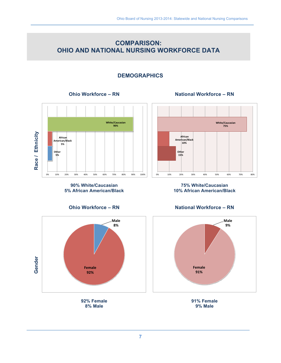# **COMPARISON:** OHIO AND NATIONAL NURSING WORKFORCE DATA

# **DEMOGRAPHICS**

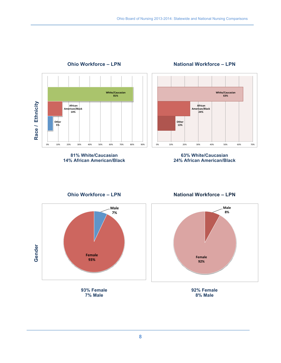

# **Ohio Workforce - LPN**

**National Workforce - LPN** 

#### 81% White/Caucasian **14% African American/Black**

63% White/Caucasian 24% African American/Black

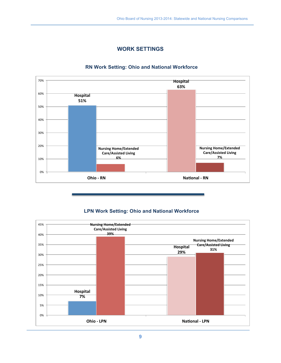

# **WORK SETTINGS**

#### **RN Work Setting: Ohio and National Workforce**

#### **LPN Work Setting: Ohio and National Workforce**